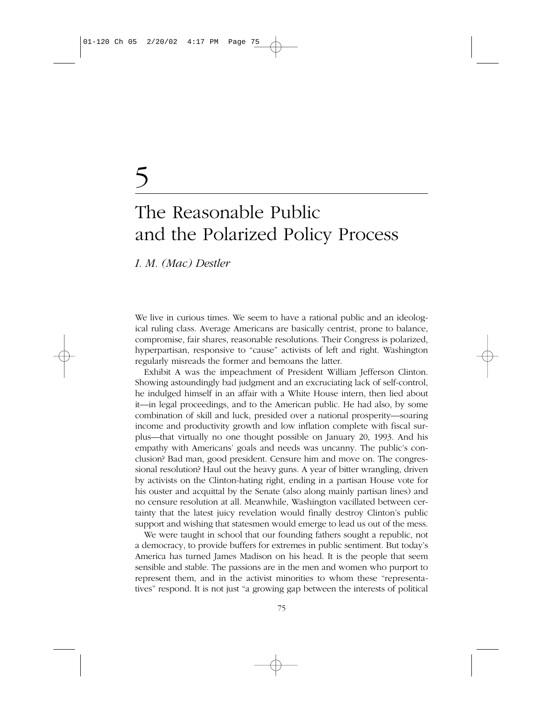# 5

## The Reasonable Public and the Polarized Policy Process

*I. M. (Mac) Destler*

We live in curious times. We seem to have a rational public and an ideological ruling class. Average Americans are basically centrist, prone to balance, compromise, fair shares, reasonable resolutions. Their Congress is polarized, hyperpartisan, responsive to "cause" activists of left and right. Washington regularly misreads the former and bemoans the latter.

Exhibit A was the impeachment of President William Jefferson Clinton. Showing astoundingly bad judgment and an excruciating lack of self-control, he indulged himself in an affair with a White House intern, then lied about it—in legal proceedings, and to the American public. He had also, by some combination of skill and luck, presided over a national prosperity—soaring income and productivity growth and low inflation complete with fiscal surplus—that virtually no one thought possible on January 20, 1993. And his empathy with Americans' goals and needs was uncanny. The public's conclusion? Bad man, good president. Censure him and move on. The congressional resolution? Haul out the heavy guns. A year of bitter wrangling, driven by activists on the Clinton-hating right, ending in a partisan House vote for his ouster and acquittal by the Senate (also along mainly partisan lines) and no censure resolution at all. Meanwhile, Washington vacillated between certainty that the latest juicy revelation would finally destroy Clinton's public support and wishing that statesmen would emerge to lead us out of the mess.

We were taught in school that our founding fathers sought a republic, not a democracy, to provide buffers for extremes in public sentiment. But today's America has turned James Madison on his head. It is the people that seem sensible and stable. The passions are in the men and women who purport to represent them, and in the activist minorities to whom these "representatives" respond. It is not just "a growing gap between the interests of political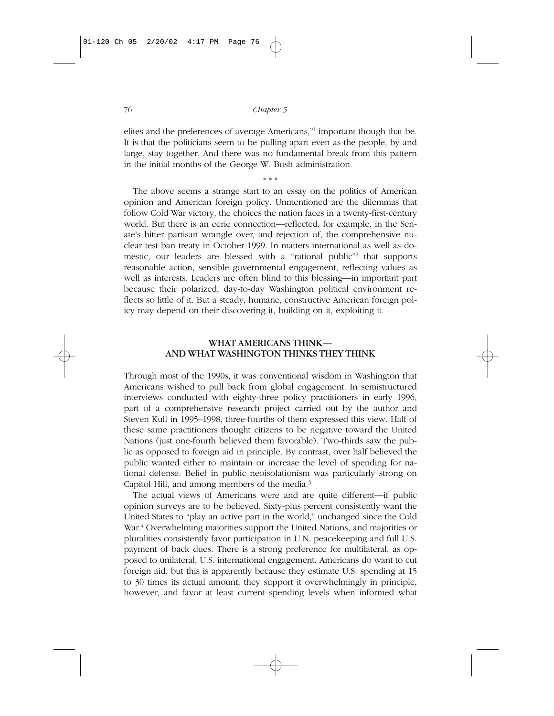elites and the preferences of average Americans,"1 important though that be. It is that the politicians seem to be pulling apart even as the people, by and large, stay together. And there was no fundamental break from this pattern in the initial months of the George W. Bush administration.

#### \* \* \*

The above seems a strange start to an essay on the politics of American opinion and American foreign policy. Unmentioned are the dilemmas that follow Cold War victory, the choices the nation faces in a twenty-first-century world. But there is an eerie connection—reflected, for example, in the Senate's bitter partisan wrangle over, and rejection of, the comprehensive nuclear test ban treaty in October 1999. In matters international as well as domestic, our leaders are blessed with a "rational public"2 that supports reasonable action, sensible governmental engagement, reflecting values as well as interests. Leaders are often blind to this blessing—in important part because their polarized, day-to-day Washington political environment reflects so little of it. But a steady, humane, constructive American foreign policy may depend on their discovering it, building on it, exploiting it.

#### WHAT AMERICANS THINK— AND WHAT WASHINGTON THINKS THEY THINK

Through most of the 1990s, it was conventional wisdom in Washington that Americans wished to pull back from global engagement. In semistructured interviews conducted with eighty-three policy practitioners in early 1996, part of a comprehensive research project carried out by the author and Steven Kull in 1995–1998, three-fourths of them expressed this view. Half of these same practitioners thought citizens to be negative toward the United Nations (just one-fourth believed them favorable). Two-thirds saw the public as opposed to foreign aid in principle. By contrast, over half believed the public wanted either to maintain or increase the level of spending for national defense. Belief in public neoisolationism was particularly strong on Capitol Hill, and among members of the media.3

The actual views of Americans were and are quite different—if public opinion surveys are to be believed. Sixty-plus percent consistently want the United States to "play an active part in the world," unchanged since the Cold War.<sup>4</sup> Overwhelming majorities support the United Nations, and majorities or pluralities consistently favor participation in U.N. peacekeeping and full U.S. payment of back dues. There is a strong preference for multilateral, as opposed to unilateral, U.S. international engagement. Americans do want to cut foreign aid, but this is apparently because they estimate U.S. spending at 15 to 30 times its actual amount; they support it overwhelmingly in principle, however, and favor at least current spending levels when informed what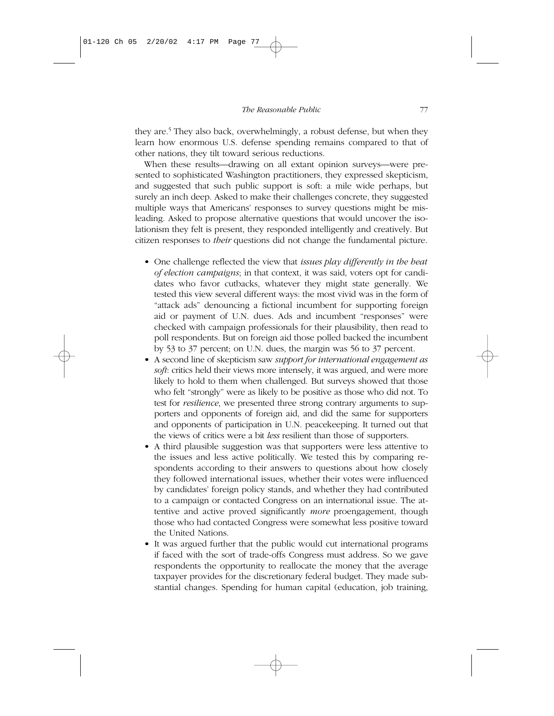they are.<sup>5</sup> They also back, overwhelmingly, a robust defense, but when they learn how enormous U.S. defense spending remains compared to that of other nations, they tilt toward serious reductions.

When these results—drawing on all extant opinion surveys—were presented to sophisticated Washington practitioners, they expressed skepticism, and suggested that such public support is soft: a mile wide perhaps, but surely an inch deep. Asked to make their challenges concrete, they suggested multiple ways that Americans' responses to survey questions might be misleading. Asked to propose alternative questions that would uncover the isolationism they felt is present, they responded intelligently and creatively. But citizen responses to *their* questions did not change the fundamental picture.

- One challenge reflected the view that *issues play differently in the heat of election campaigns*; in that context, it was said, voters opt for candidates who favor cutbacks, whatever they might state generally. We tested this view several different ways: the most vivid was in the form of "attack ads" denouncing a fictional incumbent for supporting foreign aid or payment of U.N. dues. Ads and incumbent "responses" were checked with campaign professionals for their plausibility, then read to poll respondents. But on foreign aid those polled backed the incumbent by 53 to 37 percent; on U.N. dues, the margin was 56 to 37 percent.
- A second line of skepticism saw *support for international engagement as soft*: critics held their views more intensely, it was argued, and were more likely to hold to them when challenged. But surveys showed that those who felt "strongly" were as likely to be positive as those who did not. To test for *resilience*, we presented three strong contrary arguments to supporters and opponents of foreign aid, and did the same for supporters and opponents of participation in U.N. peacekeeping. It turned out that the views of critics were a bit *less* resilient than those of supporters.
- A third plausible suggestion was that supporters were less attentive to the issues and less active politically. We tested this by comparing respondents according to their answers to questions about how closely they followed international issues, whether their votes were influenced by candidates' foreign policy stands, and whether they had contributed to a campaign or contacted Congress on an international issue. The attentive and active proved significantly *more* proengagement, though those who had contacted Congress were somewhat less positive toward the United Nations.
- It was argued further that the public would cut international programs if faced with the sort of trade-offs Congress must address. So we gave respondents the opportunity to reallocate the money that the average taxpayer provides for the discretionary federal budget. They made substantial changes. Spending for human capital (education, job training,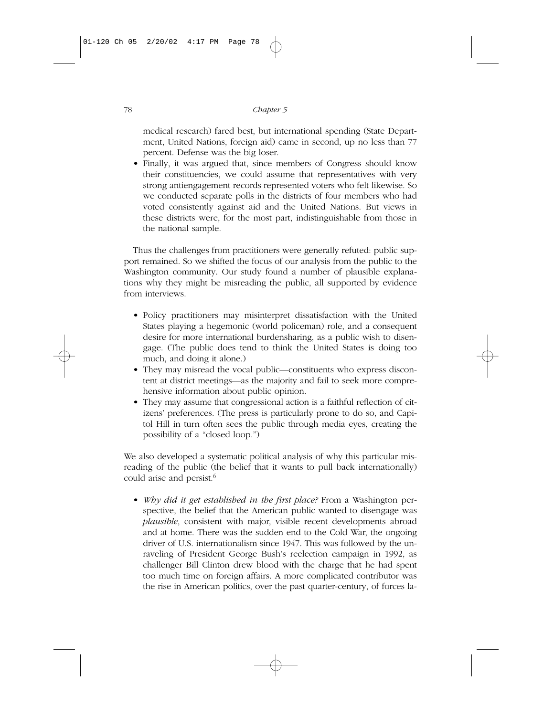medical research) fared best, but international spending (State Department, United Nations, foreign aid) came in second, up no less than 77 percent. Defense was the big loser.

• Finally, it was argued that, since members of Congress should know their constituencies, we could assume that representatives with very strong antiengagement records represented voters who felt likewise. So we conducted separate polls in the districts of four members who had voted consistently against aid and the United Nations. But views in these districts were, for the most part, indistinguishable from those in the national sample.

Thus the challenges from practitioners were generally refuted: public support remained. So we shifted the focus of our analysis from the public to the Washington community. Our study found a number of plausible explanations why they might be misreading the public, all supported by evidence from interviews.

- Policy practitioners may misinterpret dissatisfaction with the United States playing a hegemonic (world policeman) role, and a consequent desire for more international burdensharing, as a public wish to disengage. (The public does tend to think the United States is doing too much, and doing it alone.)
- They may misread the vocal public—constituents who express discontent at district meetings—as the majority and fail to seek more comprehensive information about public opinion.
- They may assume that congressional action is a faithful reflection of citizens' preferences. (The press is particularly prone to do so, and Capitol Hill in turn often sees the public through media eyes, creating the possibility of a "closed loop.")

We also developed a systematic political analysis of why this particular misreading of the public (the belief that it wants to pull back internationally) could arise and persist.<sup>6</sup>

• *Why did it get established in the first place?* From a Washington perspective, the belief that the American public wanted to disengage was *plausible*, consistent with major, visible recent developments abroad and at home. There was the sudden end to the Cold War, the ongoing driver of U.S. internationalism since 1947. This was followed by the unraveling of President George Bush's reelection campaign in 1992, as challenger Bill Clinton drew blood with the charge that he had spent too much time on foreign affairs. A more complicated contributor was the rise in American politics, over the past quarter-century, of forces la-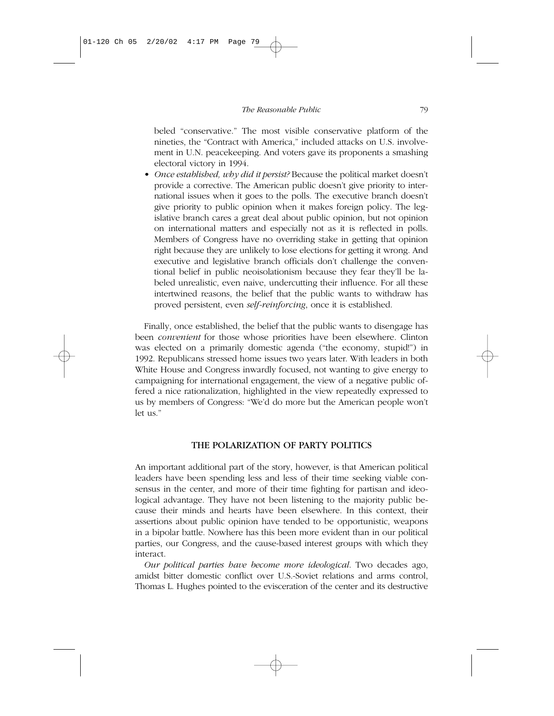beled "conservative." The most visible conservative platform of the nineties, the "Contract with America," included attacks on U.S. involvement in U.N. peacekeeping. And voters gave its proponents a smashing electoral victory in 1994.

• *Once established, why did it persist?* Because the political market doesn't provide a corrective. The American public doesn't give priority to international issues when it goes to the polls. The executive branch doesn't give priority to public opinion when it makes foreign policy. The legislative branch cares a great deal about public opinion, but not opinion on international matters and especially not as it is reflected in polls. Members of Congress have no overriding stake in getting that opinion right because they are unlikely to lose elections for getting it wrong. And executive and legislative branch officials don't challenge the conventional belief in public neoisolationism because they fear they'll be labeled unrealistic, even naive, undercutting their influence. For all these intertwined reasons, the belief that the public wants to withdraw has proved persistent, even *self-reinforcing*, once it is established.

Finally, once established, the belief that the public wants to disengage has been *convenient* for those whose priorities have been elsewhere. Clinton was elected on a primarily domestic agenda ("the economy, stupid!") in 1992. Republicans stressed home issues two years later. With leaders in both White House and Congress inwardly focused, not wanting to give energy to campaigning for international engagement, the view of a negative public offered a nice rationalization, highlighted in the view repeatedly expressed to us by members of Congress: "We'd do more but the American people won't let us."

#### THE POLARIZATION OF PARTY POLITICS

An important additional part of the story, however, is that American political leaders have been spending less and less of their time seeking viable consensus in the center, and more of their time fighting for partisan and ideological advantage. They have not been listening to the majority public because their minds and hearts have been elsewhere. In this context, their assertions about public opinion have tended to be opportunistic, weapons in a bipolar battle. Nowhere has this been more evident than in our political parties, our Congress, and the cause-based interest groups with which they interact.

*Our political parties have become more ideological*. Two decades ago, amidst bitter domestic conflict over U.S.-Soviet relations and arms control, Thomas L. Hughes pointed to the evisceration of the center and its destructive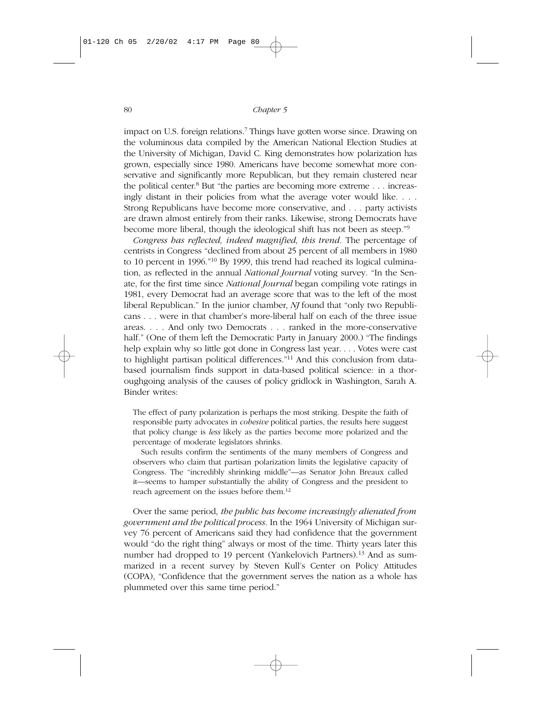impact on U.S. foreign relations.7 Things have gotten worse since. Drawing on the voluminous data compiled by the American National Election Studies at the University of Michigan, David C. King demonstrates how polarization has grown, especially since 1980. Americans have become somewhat more conservative and significantly more Republican, but they remain clustered near the political center.<sup>8</sup> But "the parties are becoming more extreme  $\ldots$  increasingly distant in their policies from what the average voter would like. . . . Strong Republicans have become more conservative, and . . . party activists are drawn almost entirely from their ranks. Likewise, strong Democrats have become more liberal, though the ideological shift has not been as steep."9

*Congress has reflected, indeed magnified, this trend*. The percentage of centrists in Congress "declined from about 25 percent of all members in 1980 to 10 percent in 1996."10 By 1999, this trend had reached its logical culmination, as reflected in the annual *National Journal* voting survey. "In the Senate, for the first time since *National Journal* began compiling vote ratings in 1981, every Democrat had an average score that was to the left of the most liberal Republican." In the junior chamber, *NJ* found that "only two Republicans . . . were in that chamber's more-liberal half on each of the three issue areas. . . . And only two Democrats . . . ranked in the more-conservative half." (One of them left the Democratic Party in January 2000.) "The findings help explain why so little got done in Congress last year. . . . Votes were cast to highlight partisan political differences."<sup>11</sup> And this conclusion from databased journalism finds support in data-based political science: in a thoroughgoing analysis of the causes of policy gridlock in Washington, Sarah A. Binder writes:

The effect of party polarization is perhaps the most striking. Despite the faith of responsible party advocates in *cohesive* political parties, the results here suggest that policy change is *less* likely as the parties become more polarized and the percentage of moderate legislators shrinks.

Such results confirm the sentiments of the many members of Congress and observers who claim that partisan polarization limits the legislative capacity of Congress. The "incredibly shrinking middle"—as Senator John Breaux called it—seems to hamper substantially the ability of Congress and the president to reach agreement on the issues before them.<sup>12</sup>

Over the same period, *the public has become increasingly alienated from government and the political process*. In the 1964 University of Michigan survey 76 percent of Americans said they had confidence that the government would "do the right thing" always or most of the time. Thirty years later this number had dropped to 19 percent (Yankelovich Partners).<sup>13</sup> And as summarized in a recent survey by Steven Kull's Center on Policy Attitudes (COPA), "Confidence that the government serves the nation as a whole has plummeted over this same time period."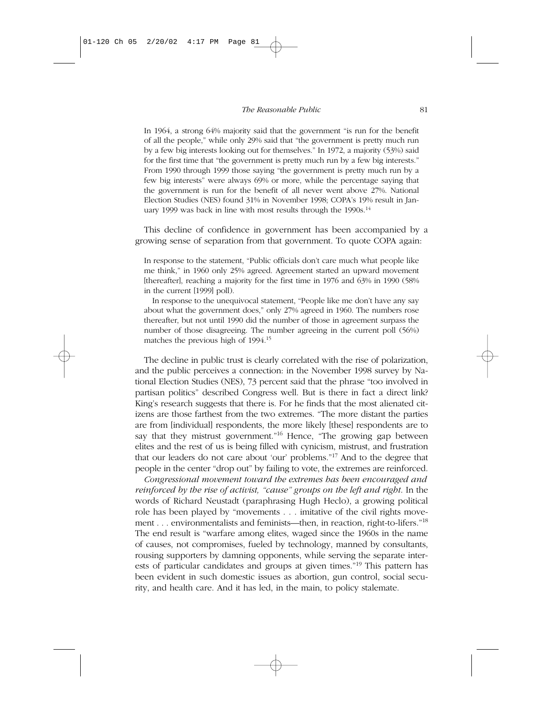In 1964, a strong 64% majority said that the government "is run for the benefit of all the people," while only 29% said that "the government is pretty much run by a few big interests looking out for themselves." In 1972, a majority (53%) said for the first time that "the government is pretty much run by a few big interests." From 1990 through 1999 those saying "the government is pretty much run by a few big interests" were always 69% or more, while the percentage saying that the government is run for the benefit of all never went above 27%. National Election Studies (NES) found 31% in November 1998; COPA's 19% result in January 1999 was back in line with most results through the  $1990s$ .<sup>14</sup>

This decline of confidence in government has been accompanied by a growing sense of separation from that government. To quote COPA again:

In response to the statement, "Public officials don't care much what people like me think," in 1960 only 25% agreed. Agreement started an upward movement [thereafter], reaching a majority for the first time in 1976 and 63% in 1990 (58% in the current [1999] poll).

In response to the unequivocal statement, "People like me don't have any say about what the government does," only 27% agreed in 1960. The numbers rose thereafter, but not until 1990 did the number of those in agreement surpass the number of those disagreeing. The number agreeing in the current poll (56%) matches the previous high of 1994.15

The decline in public trust is clearly correlated with the rise of polarization, and the public perceives a connection: in the November 1998 survey by National Election Studies (NES), 73 percent said that the phrase "too involved in partisan politics" described Congress well. But is there in fact a direct link? King's research suggests that there is. For he finds that the most alienated citizens are those farthest from the two extremes. "The more distant the parties are from [individual] respondents, the more likely [these] respondents are to say that they mistrust government."<sup>16</sup> Hence, "The growing gap between elites and the rest of us is being filled with cynicism, mistrust, and frustration that our leaders do not care about 'our' problems."17 And to the degree that people in the center "drop out" by failing to vote, the extremes are reinforced.

*Congressional movement toward the extremes has been encouraged and reinforced by the rise of activist, "cause" groups on the left and right*. In the words of Richard Neustadt (paraphrasing Hugh Heclo), a growing political role has been played by "movements . . . imitative of the civil rights movement . . . environmentalists and feminists—then, in reaction, right-to-lifers."18 The end result is "warfare among elites, waged since the 1960s in the name of causes, not compromises, fueled by technology, manned by consultants, rousing supporters by damning opponents, while serving the separate interests of particular candidates and groups at given times."19 This pattern has been evident in such domestic issues as abortion, gun control, social security, and health care. And it has led, in the main, to policy stalemate.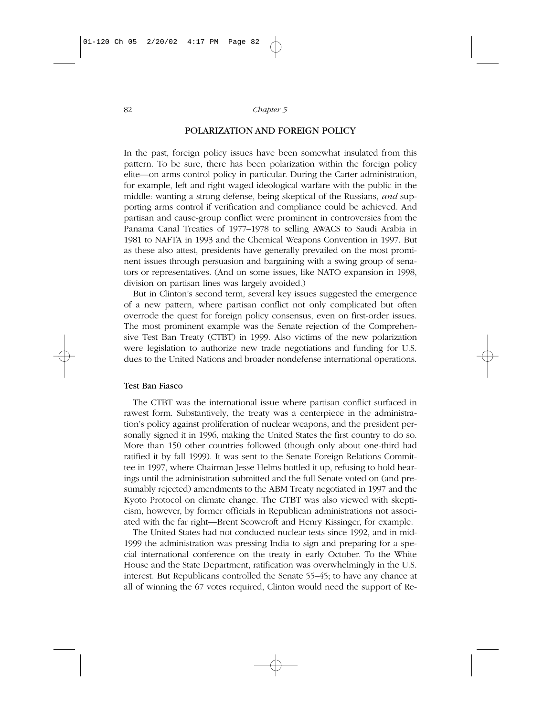#### POLARIZATION AND FOREIGN POLICY

In the past, foreign policy issues have been somewhat insulated from this pattern. To be sure, there has been polarization within the foreign policy elite—on arms control policy in particular. During the Carter administration, for example, left and right waged ideological warfare with the public in the middle: wanting a strong defense, being skeptical of the Russians, *and* supporting arms control if verification and compliance could be achieved. And partisan and cause-group conflict were prominent in controversies from the Panama Canal Treaties of 1977–1978 to selling AWACS to Saudi Arabia in 1981 to NAFTA in 1993 and the Chemical Weapons Convention in 1997. But as these also attest, presidents have generally prevailed on the most prominent issues through persuasion and bargaining with a swing group of senators or representatives. (And on some issues, like NATO expansion in 1998, division on partisan lines was largely avoided.)

But in Clinton's second term, several key issues suggested the emergence of a new pattern, where partisan conflict not only complicated but often overrode the quest for foreign policy consensus, even on first-order issues. The most prominent example was the Senate rejection of the Comprehensive Test Ban Treaty (CTBT) in 1999. Also victims of the new polarization were legislation to authorize new trade negotiations and funding for U.S. dues to the United Nations and broader nondefense international operations.

#### Test Ban Fiasco

The CTBT was the international issue where partisan conflict surfaced in rawest form. Substantively, the treaty was a centerpiece in the administration's policy against proliferation of nuclear weapons, and the president personally signed it in 1996, making the United States the first country to do so. More than 150 other countries followed (though only about one-third had ratified it by fall 1999). It was sent to the Senate Foreign Relations Committee in 1997, where Chairman Jesse Helms bottled it up, refusing to hold hearings until the administration submitted and the full Senate voted on (and presumably rejected) amendments to the ABM Treaty negotiated in 1997 and the Kyoto Protocol on climate change. The CTBT was also viewed with skepticism, however, by former officials in Republican administrations not associated with the far right—Brent Scowcroft and Henry Kissinger, for example.

The United States had not conducted nuclear tests since 1992, and in mid-1999 the administration was pressing India to sign and preparing for a special international conference on the treaty in early October. To the White House and the State Department, ratification was overwhelmingly in the U.S. interest. But Republicans controlled the Senate 55–45; to have any chance at all of winning the 67 votes required, Clinton would need the support of Re-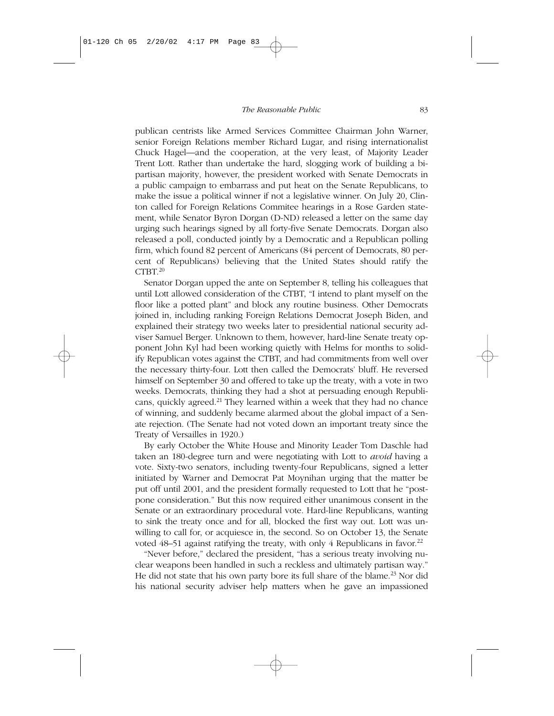publican centrists like Armed Services Committee Chairman John Warner, senior Foreign Relations member Richard Lugar, and rising internationalist Chuck Hagel—and the cooperation, at the very least, of Majority Leader Trent Lott. Rather than undertake the hard, slogging work of building a bipartisan majority, however, the president worked with Senate Democrats in a public campaign to embarrass and put heat on the Senate Republicans, to make the issue a political winner if not a legislative winner. On July 20, Clinton called for Foreign Relations Commitee hearings in a Rose Garden statement, while Senator Byron Dorgan (D-ND) released a letter on the same day urging such hearings signed by all forty-five Senate Democrats. Dorgan also released a poll, conducted jointly by a Democratic and a Republican polling firm, which found 82 percent of Americans (84 percent of Democrats, 80 percent of Republicans) believing that the United States should ratify the  $CTBT<sup>20</sup>$ 

Senator Dorgan upped the ante on September 8, telling his colleagues that until Lott allowed consideration of the CTBT, "I intend to plant myself on the floor like a potted plant" and block any routine business. Other Democrats joined in, including ranking Foreign Relations Democrat Joseph Biden, and explained their strategy two weeks later to presidential national security adviser Samuel Berger. Unknown to them, however, hard-line Senate treaty opponent John Kyl had been working quietly with Helms for months to solidify Republican votes against the CTBT, and had commitments from well over the necessary thirty-four. Lott then called the Democrats' bluff. He reversed himself on September 30 and offered to take up the treaty, with a vote in two weeks. Democrats, thinking they had a shot at persuading enough Republicans, quickly agreed.<sup>21</sup> They learned within a week that they had no chance of winning, and suddenly became alarmed about the global impact of a Senate rejection. (The Senate had not voted down an important treaty since the Treaty of Versailles in 1920.)

By early October the White House and Minority Leader Tom Daschle had taken an 180-degree turn and were negotiating with Lott to *avoid* having a vote. Sixty-two senators, including twenty-four Republicans, signed a letter initiated by Warner and Democrat Pat Moynihan urging that the matter be put off until 2001, and the president formally requested to Lott that he "postpone consideration." But this now required either unanimous consent in the Senate or an extraordinary procedural vote. Hard-line Republicans, wanting to sink the treaty once and for all, blocked the first way out. Lott was unwilling to call for, or acquiesce in, the second. So on October 13, the Senate voted  $48-51$  against ratifying the treaty, with only 4 Republicans in favor.<sup>22</sup>

"Never before," declared the president, "has a serious treaty involving nuclear weapons been handled in such a reckless and ultimately partisan way." He did not state that his own party bore its full share of the blame.<sup>23</sup> Nor did his national security adviser help matters when he gave an impassioned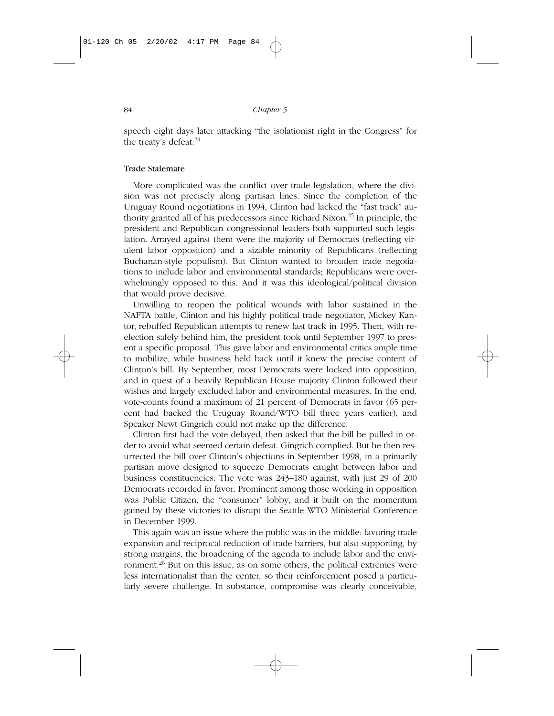speech eight days later attacking "the isolationist right in the Congress" for the treaty's defeat.<sup>24</sup>

#### Trade Stalemate

More complicated was the conflict over trade legislation, where the division was not precisely along partisan lines. Since the completion of the Uruguay Round negotiations in 1994, Clinton had lacked the "fast track" authority granted all of his predecessors since Richard Nixon.25 In principle, the president and Republican congressional leaders both supported such legislation. Arrayed against them were the majority of Democrats (reflecting virulent labor opposition) and a sizable minority of Republicans (reflecting Buchanan-style populism). But Clinton wanted to broaden trade negotiations to include labor and environmental standards; Republicans were overwhelmingly opposed to this. And it was this ideological/political division that would prove decisive.

Unwilling to reopen the political wounds with labor sustained in the NAFTA battle, Clinton and his highly political trade negotiator, Mickey Kantor, rebuffed Republican attempts to renew fast track in 1995. Then, with reelection safely behind him, the president took until September 1997 to present a specific proposal. This gave labor and environmental critics ample time to mobilize, while business held back until it knew the precise content of Clinton's bill. By September, most Democrats were locked into opposition, and in quest of a heavily Republican House majority Clinton followed their wishes and largely excluded labor and environmental measures. In the end, vote-counts found a maximum of 21 percent of Democrats in favor (65 percent had backed the Uruguay Round/WTO bill three years earlier), and Speaker Newt Gingrich could not make up the difference.

Clinton first had the vote delayed, then asked that the bill be pulled in order to avoid what seemed certain defeat. Gingrich complied. But he then resurrected the bill over Clinton's objections in September 1998, in a primarily partisan move designed to squeeze Democrats caught between labor and business constituencies. The vote was 243–180 against, with just 29 of 200 Democrats recorded in favor. Prominent among those working in opposition was Public Citizen, the "consumer" lobby, and it built on the momentum gained by these victories to disrupt the Seattle WTO Ministerial Conference in December 1999.

This again was an issue where the public was in the middle: favoring trade expansion and reciprocal reduction of trade barriers, but also supporting, by strong margins, the broadening of the agenda to include labor and the environment.<sup>26</sup> But on this issue, as on some others, the political extremes were less internationalist than the center, so their reinforcement posed a particularly severe challenge. In substance, compromise was clearly conceivable,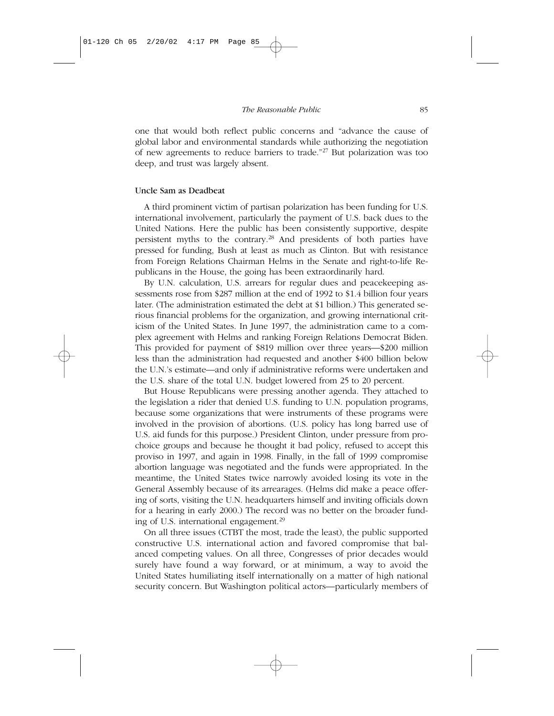one that would both reflect public concerns and "advance the cause of global labor and environmental standards while authorizing the negotiation of new agreements to reduce barriers to trade."27 But polarization was too deep, and trust was largely absent.

#### Uncle Sam as Deadbeat

A third prominent victim of partisan polarization has been funding for U.S. international involvement, particularly the payment of U.S. back dues to the United Nations. Here the public has been consistently supportive, despite persistent myths to the contrary.28 And presidents of both parties have pressed for funding, Bush at least as much as Clinton. But with resistance from Foreign Relations Chairman Helms in the Senate and right-to-life Republicans in the House, the going has been extraordinarily hard.

By U.N. calculation, U.S. arrears for regular dues and peacekeeping assessments rose from \$287 million at the end of 1992 to \$1.4 billion four years later. (The administration estimated the debt at \$1 billion.) This generated serious financial problems for the organization, and growing international criticism of the United States. In June 1997, the administration came to a complex agreement with Helms and ranking Foreign Relations Democrat Biden. This provided for payment of \$819 million over three years—\$200 million less than the administration had requested and another \$400 billion below the U.N.'s estimate—and only if administrative reforms were undertaken and the U.S. share of the total U.N. budget lowered from 25 to 20 percent.

But House Republicans were pressing another agenda. They attached to the legislation a rider that denied U.S. funding to U.N. population programs, because some organizations that were instruments of these programs were involved in the provision of abortions. (U.S. policy has long barred use of U.S. aid funds for this purpose.) President Clinton, under pressure from prochoice groups and because he thought it bad policy, refused to accept this proviso in 1997, and again in 1998. Finally, in the fall of 1999 compromise abortion language was negotiated and the funds were appropriated. In the meantime, the United States twice narrowly avoided losing its vote in the General Assembly because of its arrearages. (Helms did make a peace offering of sorts, visiting the U.N. headquarters himself and inviting officials down for a hearing in early 2000.) The record was no better on the broader funding of U.S. international engagement.29

On all three issues (CTBT the most, trade the least), the public supported constructive U.S. international action and favored compromise that balanced competing values. On all three, Congresses of prior decades would surely have found a way forward, or at minimum, a way to avoid the United States humiliating itself internationally on a matter of high national security concern. But Washington political actors—particularly members of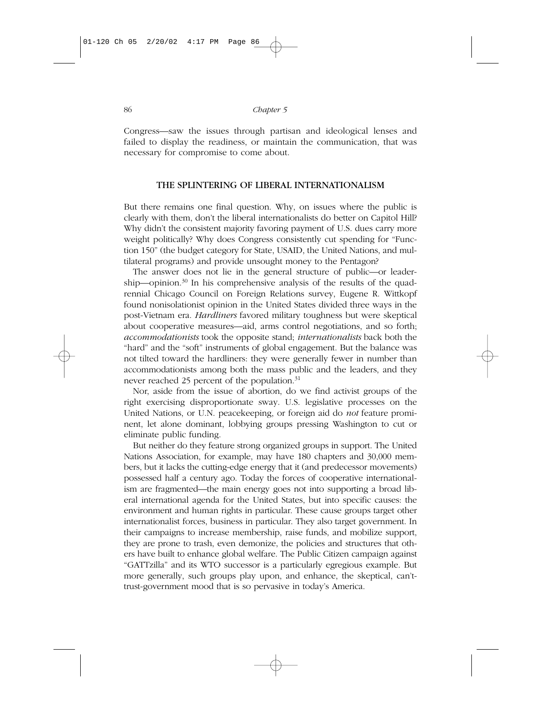Congress—saw the issues through partisan and ideological lenses and failed to display the readiness, or maintain the communication, that was necessary for compromise to come about.

### THE SPLINTERING OF LIBERAL INTERNATIONALISM

But there remains one final question. Why, on issues where the public is clearly with them, don't the liberal internationalists do better on Capitol Hill? Why didn't the consistent majority favoring payment of U.S. dues carry more weight politically? Why does Congress consistently cut spending for "Function 150" (the budget category for State, USAID, the United Nations, and multilateral programs) and provide unsought money to the Pentagon?

The answer does not lie in the general structure of public—or leadership—opinion. $30$  In his comprehensive analysis of the results of the quadrennial Chicago Council on Foreign Relations survey, Eugene R. Wittkopf found nonisolationist opinion in the United States divided three ways in the post-Vietnam era. *Hardliners* favored military toughness but were skeptical about cooperative measures—aid, arms control negotiations, and so forth; *accommodationists* took the opposite stand; *internationalists* back both the "hard" and the "soft" instruments of global engagement. But the balance was not tilted toward the hardliners: they were generally fewer in number than accommodationists among both the mass public and the leaders, and they never reached 25 percent of the population.<sup>31</sup>

Nor, aside from the issue of abortion, do we find activist groups of the right exercising disproportionate sway. U.S. legislative processes on the United Nations, or U.N. peacekeeping, or foreign aid do *not* feature prominent, let alone dominant, lobbying groups pressing Washington to cut or eliminate public funding.

But neither do they feature strong organized groups in support. The United Nations Association, for example, may have 180 chapters and 30,000 members, but it lacks the cutting-edge energy that it (and predecessor movements) possessed half a century ago. Today the forces of cooperative internationalism are fragmented—the main energy goes not into supporting a broad liberal international agenda for the United States, but into specific causes: the environment and human rights in particular. These cause groups target other internationalist forces, business in particular. They also target government. In their campaigns to increase membership, raise funds, and mobilize support, they are prone to trash, even demonize, the policies and structures that others have built to enhance global welfare. The Public Citizen campaign against "GATTzilla" and its WTO successor is a particularly egregious example. But more generally, such groups play upon, and enhance, the skeptical, can'ttrust-government mood that is so pervasive in today's America.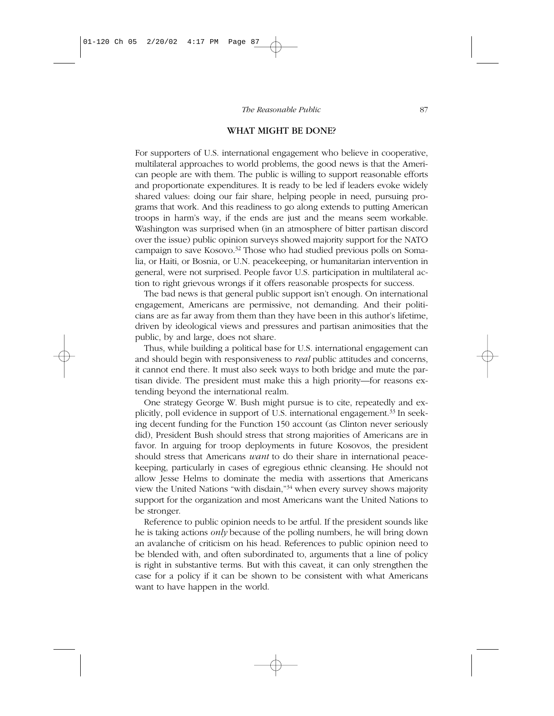#### WHAT MIGHT BE DONE?

For supporters of U.S. international engagement who believe in cooperative, multilateral approaches to world problems, the good news is that the American people are with them. The public is willing to support reasonable efforts and proportionate expenditures. It is ready to be led if leaders evoke widely shared values: doing our fair share, helping people in need, pursuing programs that work. And this readiness to go along extends to putting American troops in harm's way, if the ends are just and the means seem workable. Washington was surprised when (in an atmosphere of bitter partisan discord over the issue) public opinion surveys showed majority support for the NATO campaign to save Kosovo.32 Those who had studied previous polls on Somalia, or Haiti, or Bosnia, or U.N. peacekeeping, or humanitarian intervention in general, were not surprised. People favor U.S. participation in multilateral action to right grievous wrongs if it offers reasonable prospects for success.

The bad news is that general public support isn't enough. On international engagement, Americans are permissive, not demanding. And their politicians are as far away from them than they have been in this author's lifetime, driven by ideological views and pressures and partisan animosities that the public, by and large, does not share.

Thus, while building a political base for U.S. international engagement can and should begin with responsiveness to *real* public attitudes and concerns, it cannot end there. It must also seek ways to both bridge and mute the partisan divide. The president must make this a high priority—for reasons extending beyond the international realm.

One strategy George W. Bush might pursue is to cite, repeatedly and explicitly, poll evidence in support of U.S. international engagement.<sup>33</sup> In seeking decent funding for the Function 150 account (as Clinton never seriously did), President Bush should stress that strong majorities of Americans are in favor. In arguing for troop deployments in future Kosovos, the president should stress that Americans *want* to do their share in international peacekeeping, particularly in cases of egregious ethnic cleansing. He should not allow Jesse Helms to dominate the media with assertions that Americans view the United Nations "with disdain,"34 when every survey shows majority support for the organization and most Americans want the United Nations to be stronger.

Reference to public opinion needs to be artful. If the president sounds like he is taking actions *only* because of the polling numbers, he will bring down an avalanche of criticism on his head. References to public opinion need to be blended with, and often subordinated to, arguments that a line of policy is right in substantive terms. But with this caveat, it can only strengthen the case for a policy if it can be shown to be consistent with what Americans want to have happen in the world.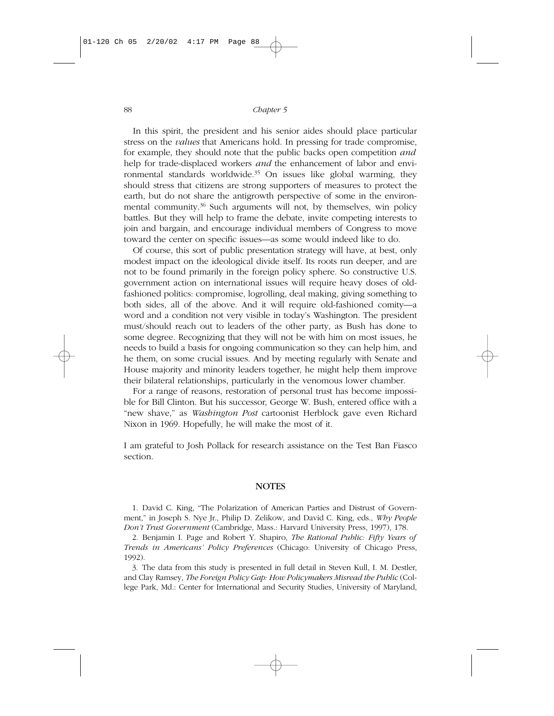In this spirit, the president and his senior aides should place particular stress on the *values* that Americans hold. In pressing for trade compromise, for example, they should note that the public backs open competition *and* help for trade-displaced workers *and* the enhancement of labor and environmental standards worldwide.<sup>35</sup> On issues like global warming, they should stress that citizens are strong supporters of measures to protect the earth, but do not share the antigrowth perspective of some in the environmental community.<sup>36</sup> Such arguments will not, by themselves, win policy battles. But they will help to frame the debate, invite competing interests to join and bargain, and encourage individual members of Congress to move toward the center on specific issues—as some would indeed like to do.

Of course, this sort of public presentation strategy will have, at best, only modest impact on the ideological divide itself. Its roots run deeper, and are not to be found primarily in the foreign policy sphere. So constructive U.S. government action on international issues will require heavy doses of oldfashioned politics: compromise, logrolling, deal making, giving something to both sides, all of the above. And it will require old-fashioned comity—a word and a condition not very visible in today's Washington. The president must/should reach out to leaders of the other party, as Bush has done to some degree. Recognizing that they will not be with him on most issues, he needs to build a basis for ongoing communication so they can help him, and he them, on some crucial issues. And by meeting regularly with Senate and House majority and minority leaders together, he might help them improve their bilateral relationships, particularly in the venomous lower chamber.

For a range of reasons, restoration of personal trust has become impossible for Bill Clinton. But his successor, George W. Bush, entered office with a "new shave," as *Washington Post* cartoonist Herblock gave even Richard Nixon in 1969. Hopefully, he will make the most of it.

I am grateful to Josh Pollack for research assistance on the Test Ban Fiasco section.

#### **NOTES**

1. David C. King, "The Polarization of American Parties and Distrust of Government," in Joseph S. Nye Jr., Philip D. Zelikow, and David C. King, eds., *Why People Don't Trust Government* (Cambridge, Mass.: Harvard University Press, 1997), 178.

2. Benjamin I. Page and Robert Y. Shapiro, *The Rational Public: Fifty Years of Trends in Americans' Policy Preferences* (Chicago: University of Chicago Press, 1992).

3. The data from this study is presented in full detail in Steven Kull, I. M. Destler, and Clay Ramsey, *The Foreign Policy Gap: How Policymakers Misread the Public* (College Park, Md.: Center for International and Security Studies, University of Maryland,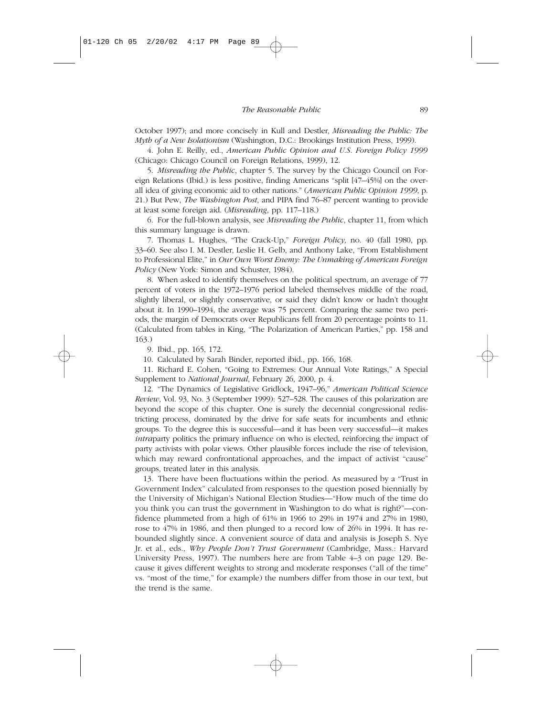October 1997); and more concisely in Kull and Destler, *Misreading the Public: The Myth of a New Isolationism* (Washington, D.C.: Brookings Institution Press, 1999).

4. John E. Reilly, ed., *American Public Opinion and U.S. Foreign Policy 1999* (Chicago: Chicago Council on Foreign Relations, 1999), 12.

5. *Misreading the Public*, chapter 5. The survey by the Chicago Council on Foreign Relations (Ibid.) is less positive, finding Americans "split [47–45%] on the overall idea of giving economic aid to other nations." (*American Public Opinion 1999*, p. 21.) But Pew, *The Washington Post*, and PIPA find 76–87 percent wanting to provide at least some foreign aid. (*Misreading*, pp. 117–118.)

6. For the full-blown analysis, see *Misreading the Public*, chapter 11, from which this summary language is drawn.

7. Thomas L. Hughes, "The Crack-Up," *Foreign Policy,* no. 40 (fall 1980, pp. 33–60. See also I. M. Destler, Leslie H. Gelb, and Anthony Lake, "From Establishment to Professional Elite," in *Our Own Worst Enemy: The Unmaking of American Foreign Policy* (New York: Simon and Schuster, 1984).

8. When asked to identify themselves on the political spectrum, an average of 77 percent of voters in the 1972–1976 period labeled themselves middle of the road, slightly liberal, or slightly conservative, or said they didn't know or hadn't thought about it. In 1990–1994, the average was 75 percent. Comparing the same two periods, the margin of Democrats over Republicans fell from 20 percentage points to 11. (Calculated from tables in King, "The Polarization of American Parties," pp. 158 and 163.)

9. Ibid., pp. 165, 172.

10. Calculated by Sarah Binder, reported ibid., pp. 166, 168.

11. Richard E. Cohen, "Going to Extremes: Our Annual Vote Ratings," A Special Supplement to *National Journal*, February 26, 2000, p. 4.

12. "The Dynamics of Legislative Gridlock, 1947–96," *American Political Science Review*, Vol. 93, No. 3 (September 1999): 527–528. The causes of this polarization are beyond the scope of this chapter. One is surely the decennial congressional redistricting process, dominated by the drive for safe seats for incumbents and ethnic groups. To the degree this is successful—and it has been very successful—it makes *intraparty* politics the primary influence on who is elected, reinforcing the impact of party activists with polar views. Other plausible forces include the rise of television, which may reward confrontational approaches, and the impact of activist "cause" groups, treated later in this analysis.

13. There have been fluctuations within the period. As measured by a "Trust in Government Index" calculated from responses to the question posed biennially by the University of Michigan's National Election Studies—"How much of the time do you think you can trust the government in Washington to do what is right?"—confidence plummeted from a high of 61% in 1966 to 29% in 1974 and 27% in 1980, rose to 47% in 1986, and then plunged to a record low of 26% in 1994. It has rebounded slightly since. A convenient source of data and analysis is Joseph S. Nye Jr. et al., eds., *Why People Don't Trust Government* (Cambridge, Mass.: Harvard University Press, 1997). The numbers here are from Table 4–3 on page 129. Because it gives different weights to strong and moderate responses ("all of the time" vs. "most of the time," for example) the numbers differ from those in our text, but the trend is the same.